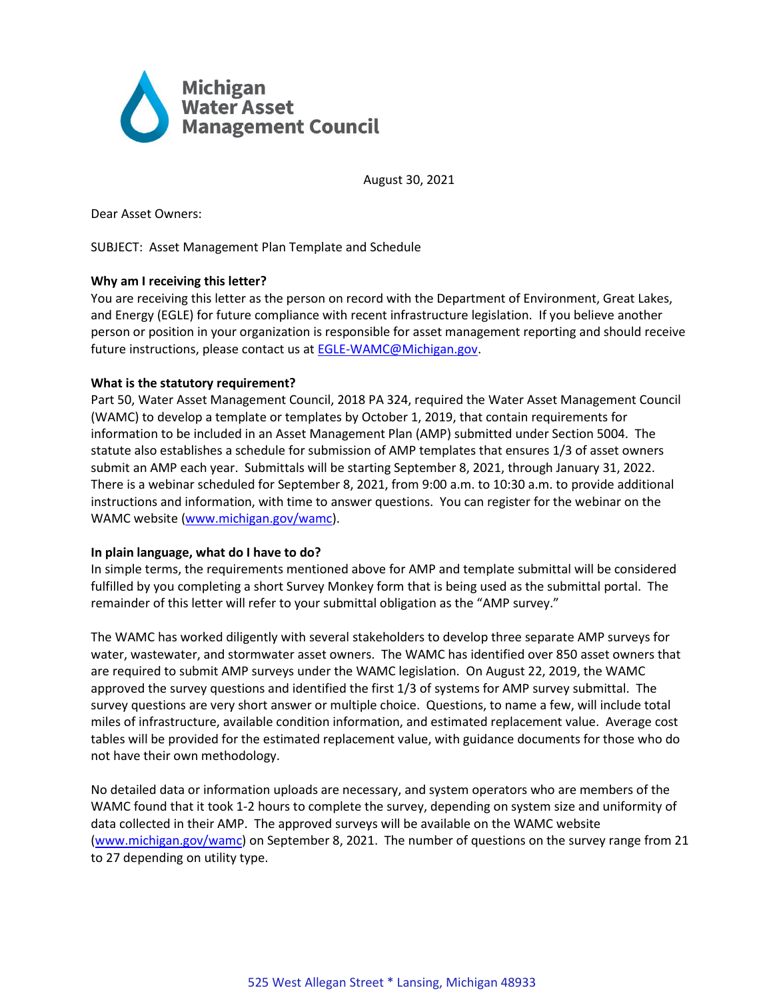

August 30, 2021

Dear Asset Owners:

## SUBJECT: Asset Management Plan Template and Schedule

# **Why am I receiving this letter?**

You are receiving this letter as the person on record with the Department of Environment, Great Lakes, and Energy (EGLE) for future compliance with recent infrastructure legislation. If you believe another person or position in your organization is responsible for asset management reporting and should receive future instructions, please contact us a[t EGLE-WAMC@Michigan.gov.](mailto:EGLE-WAMC@Michigan.gov)

# **What is the statutory requirement?**

Part 50, Water Asset Management Council, 2018 PA 324, required the Water Asset Management Council (WAMC) to develop a template or templates by October 1, 2019, that contain requirements for information to be included in an Asset Management Plan (AMP) submitted under Section 5004. The statute also establishes a schedule for submission of AMP templates that ensures 1/3 of asset owners submit an AMP each year. Submittals will be starting September 8, 2021, through January 31, 2022. There is a webinar scheduled for September 8, 2021, from 9:00 a.m. to 10:30 a.m. to provide additional instructions and information, with time to answer questions. You can register for the webinar on the WAMC website [\(www.michigan.gov/wamc\)](http://www.michigan.gov/wamc).

## **In plain language, what do I have to do?**

In simple terms, the requirements mentioned above for AMP and template submittal will be considered fulfilled by you completing a short Survey Monkey form that is being used as the submittal portal. The remainder of this letter will refer to your submittal obligation as the "AMP survey."

The WAMC has worked diligently with several stakeholders to develop three separate AMP surveys for water, wastewater, and stormwater asset owners. The WAMC has identified over 850 asset owners that are required to submit AMP surveys under the WAMC legislation. On August 22, 2019, the WAMC approved the survey questions and identified the first 1/3 of systems for AMP survey submittal. The survey questions are very short answer or multiple choice. Questions, to name a few, will include total miles of infrastructure, available condition information, and estimated replacement value. Average cost tables will be provided for the estimated replacement value, with guidance documents for those who do not have their own methodology.

No detailed data or information uploads are necessary, and system operators who are members of the WAMC found that it took 1-2 hours to complete the survey, depending on system size and uniformity of data collected in their AMP. The approved surveys will be available on the WAMC website [\(www.michigan.gov/wamc\)](http://www.michigan.gov/wamc) on September 8, 2021. The number of questions on the survey range from 21 to 27 depending on utility type.